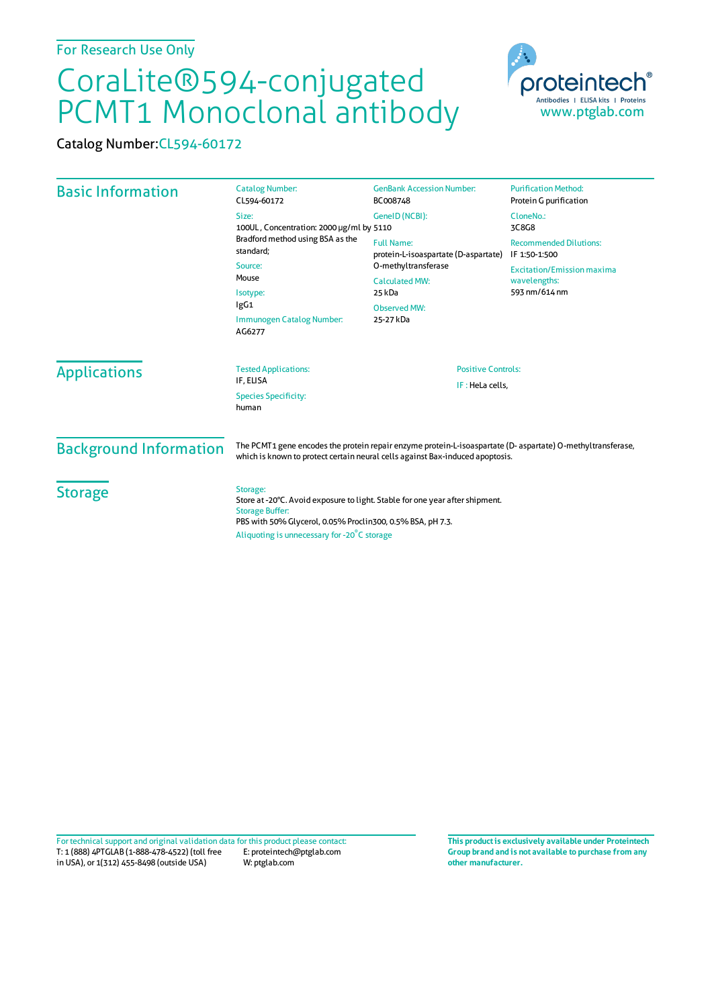## CoraLite®594-conjugated PCMT1 Monoclonal antibody

| PCM11 Monoclonal antibody<br>Catalog Number: CL594-60172 |                                                                                                                                                                                                                                 |                                                                                                                                                         | www.ptglab.com                                                     |
|----------------------------------------------------------|---------------------------------------------------------------------------------------------------------------------------------------------------------------------------------------------------------------------------------|---------------------------------------------------------------------------------------------------------------------------------------------------------|--------------------------------------------------------------------|
|                                                          |                                                                                                                                                                                                                                 |                                                                                                                                                         |                                                                    |
| <b>Basic Information</b>                                 | <b>Catalog Number:</b><br>CL594-60172                                                                                                                                                                                           | <b>GenBank Accession Number:</b><br>BC008748                                                                                                            | <b>Purification Method:</b><br>Protein G purification              |
|                                                          | Size:<br>100UL, Concentration: 2000 µg/ml by 5110<br>Bradford method using BSA as the<br>standard;<br>Source:<br>Mouse<br>Isotype:<br>lgG1<br>Immunogen Catalog Number:<br>AG6277                                               | GeneID (NCBI):                                                                                                                                          | CloneNo.:<br>3C8G8                                                 |
|                                                          |                                                                                                                                                                                                                                 | <b>Full Name:</b><br>protein-L-isoaspartate (D-aspartate)<br>O-methyltransferase<br><b>Calculated MW:</b><br>25 kDa<br><b>Observed MW:</b><br>25-27 kDa | <b>Recommended Dilutions:</b><br>IF 1:50-1:500                     |
|                                                          |                                                                                                                                                                                                                                 |                                                                                                                                                         | <b>Excitation/Emission maxima</b><br>wavelengths:<br>593 nm/614 nm |
| <b>Applications</b>                                      | <b>Tested Applications:</b><br>IF, ELISA<br><b>Species Specificity:</b><br>human                                                                                                                                                | <b>Positive Controls:</b><br>IF: HeLa cells,                                                                                                            |                                                                    |
| <b>Background Information</b>                            | The PCMT1 gene encodes the protein repair enzyme protein-L-isoaspartate (D-aspartate) O-methyltransferase,<br>which is known to protect certain neural cells against Bax-induced apoptosis.                                     |                                                                                                                                                         |                                                                    |
| <b>Storage</b>                                           | Storage:<br>Store at -20°C. Avoid exposure to light. Stable for one year after shipment.<br><b>Storage Buffer:</b><br>PBS with 50% Glycerol, 0.05% Proclin300, 0.5% BSA, pH 7.3.<br>Aliquoting is unnecessary for -20°C storage |                                                                                                                                                         |                                                                    |

**Group brand and is not available to purchase from any other manufacturer.**

proteinte